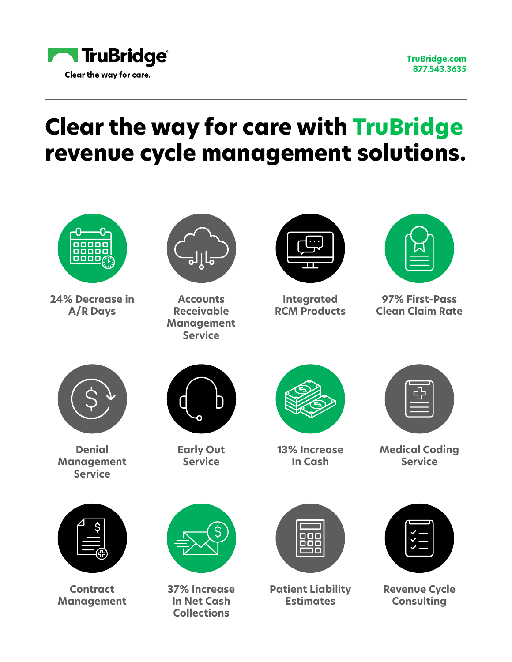

**[TruBridge.com](http://www.TruBridge.com )  877.543.3635**

## **Clear the way for care with TruBridge revenue cycle management solutions.**